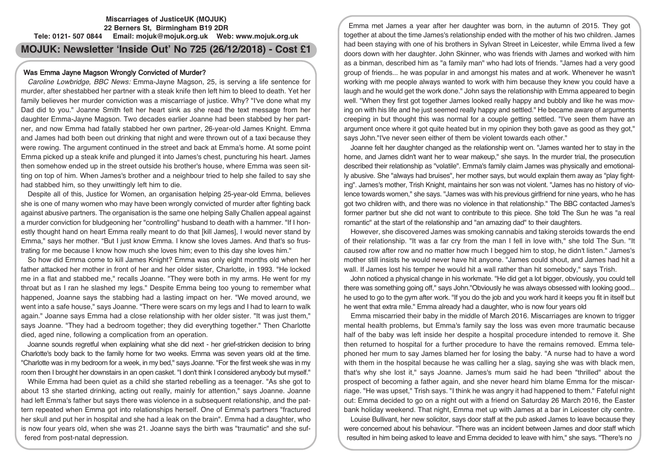# **Miscarriages of JusticeUK (MOJUK) 22 Berners St, Birmingham B19 2DR Tele: 0121- 507 0844 Email: mojuk@mojuk.org.uk Web: www.mojuk.org.uk**

# **MOJUK: Newsletter 'Inside Out' No 725 (26/12/2018) - Cost £1**

#### Was Emma Jayne Magson Wrongly Convicted of Murder?

Caroline Lowbridge, BBC News: Emma-Jayne Magson, 25, is serving a life sentence for murder, after shestabbed her partner with a steak knife then left him to bleed to death. Yet her family believes her murder conviction was a miscarriage of justice. Why? "I've done what my Dad did to you." Joanne Smith felt her heart sink as she read the text message from her daughter Emma-Jayne Magson. Two decades earlier Joanne had been stabbed by her partner, and now Emma had fatally stabbed her own partner, 26-year-old James Knight. Emma and James had both been out drinking that night and were thrown out of a taxi because they were rowing. The argument continued in the street and back at Emma's home. At some point Emma picked up a steak knife and plunged it into James's chest, puncturing his heart. James then somehow ended up in the street outside his brother's house, where Emma was seen sitting on top of him. When James's brother and a neighbour tried to help she failed to say she had stabbed him, so they unwittingly left him to die.

Despite all of this, Justice for Women, an organisation helping 25-year-old Emma, believes she is one of many women who may have been wrongly convicted of murder after fighting back against abusive partners. The organisation is the same one helping Sally Challen appeal against a murder conviction for bludgeoning her "controlling" husband to death with a hammer. "If I honestly thought hand on heart Emma really meant to do that [kill James], I would never stand by Emma," says her mother. "But I just know Emma. I know she loves James. And that's so frustrating for me because I know how much she loves him; even to this day she loves him."

So how did Emma come to kill James Knight? Emma was only eight months old when her father attacked her mother in front of her and her older sister, Charlotte, in 1993. "He locked me in a flat and stabbed me," recalls Joanne. "They were both in my arms. He went for my throat but as I ran he slashed my legs." Despite Emma being too young to remember what happened, Joanne says the stabbing had a lasting impact on her. "We moved around, we went into a safe house," says Joanne. "There were scars on my legs and I had to learn to walk again." Joanne says Emma had a close relationship with her older sister. "It was just them," says Joanne. "They had a bedroom together; they did everything together." Then Charlotte died, aged nine, following a complication from an operation.

Joanne sounds regretful when explaining what she did next - her grief-stricken decision to bring Charlotte's body back to the family home for two weeks. Emma was seven years old at the time. "Charlotte was in my bedroom for a week, in my bed," says Joanne. "For the first week she was in my room then I brought her downstairs in an open casket. "I don't think I considered anybody but myself."

While Emma had been quiet as a child she started rebelling as a teenager. "As she got to about 13 she started drinking, acting out really, mainly for attention," says Joanne. Joanne had left Emma's father but says there was violence in a subsequent relationship, and the pattern repeated when Emma got into relationships herself. One of Emma's partners "fractured her skull and put her in hospital and she had a leak on the brain". Emma had a daughter, who is now four years old, when she was 21. Joanne says the birth was "traumatic" and she suffered from post-natal depression.

Emma met James a year after her daughter was born, in the autumn of 2015. They got together at about the time James's relationship ended with the mother of his two children. James had been staying with one of his brothers in Sylvan Street in Leicester, while Emma lived a few doors down with her daughter. John Skinner, who was friends with James and worked with him as a binman, described him as "a family man" who had lots of friends. "James had a very good group of friends... he was popular in and amongst his mates and at work. Whenever he wasn't working with me people always wanted to work with him because they knew you could have a laugh and he would get the work done." John says the relationship with Emma appeared to begin well. "When they first got together James looked really happy and bubbly and like he was moving on with his life and he just seemed really happy and settled." He became aware of arguments creeping in but thought this was normal for a couple getting settled. "I've seen them have an argument once where it got quite heated but in my opinion they both gave as good as they got," says John."I've never seen either of them be violent towards each other."

Joanne felt her daughter changed as the relationship went on. "James wanted her to stay in the home, and James didn't want her to wear makeup," she says. In the murder trial, the prosecution described their relationship as "volatile". Emma's family claim James was physically and emotionally abusive. She "always had bruises", her mother says, but would explain them away as "play fighting". James's mother, Trish Knight, maintains her son was not violent. "James has no history of violence towards women," she says. "James was with his previous girlfriend for nine years, who he has got two children with, and there was no violence in that relationship." The BBC contacted James's former partner but she did not want to contribute to this piece. She told The Sun he was "a real romantic" at the start of the relationship and "an amazing dad" to their daughters.

However, she discovered James was smoking cannabis and taking steroids towards the end of their relationship. "It was a far cry from the man I fell in love with," she told The Sun. "It caused row after row and no matter how much I begged him to stop, he didn't listen." James's mother still insists he would never have hit anyone. "James could shout, and James had hit a wall. If James lost his temper he would hit a wall rather than hit somebody," says Trish.

John noticed a physical change in his workmate. "He did get a lot bigger, obviously, you could tell there was something going off," says John."Obviously he was always obsessed with looking good... he used to go to the gym after work. "If you do the job and you work hard it keeps you fit in itself but he went that extra mile." Emma already had a daughter, who is now four years old

Emma miscarried their baby in the middle of March 2016. Miscarriages are known to trigger mental health problems, but Emma's family say the loss was even more traumatic because half of the baby was left inside her despite a hospital procedure intended to remove it. She then returned to hospital for a further procedure to have the remains removed. Emma telephoned her mum to say James blamed her for losing the baby. "A nurse had to have a word with them in the hospital because he was calling her a slag, saying she was with black men, that's why she lost it," says Joanne. James's mum said he had been "thrilled" about the prospect of becoming a father again, and she never heard him blame Emma for the miscarriage. "He was upset," Trish says. "I think he was angry it had happened to them." Fateful night out: Emma decided to go on a night out with a friend on Saturday 26 March 2016, the Easter bank holiday weekend. That night, Emma met up with James at a bar in Leicester city centre.

Louise Bullivant, her new solicitor, says door staff at the pub asked James to leave because they were concerned about his behaviour. "There was an incident between James and door staff which resulted in him being asked to leave and Emma decided to leave with him," she says. "There's no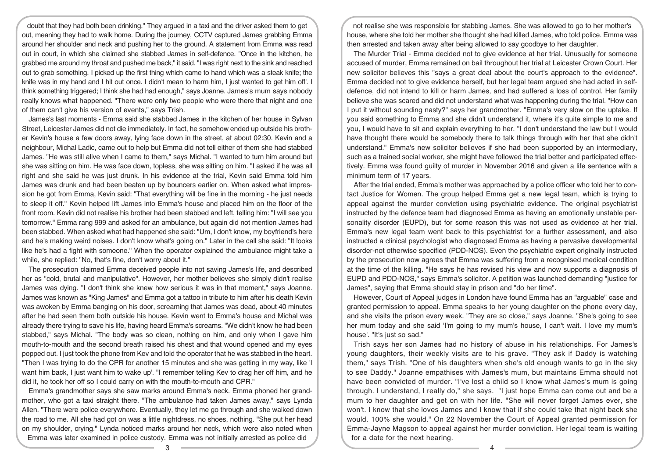doubt that they had both been drinking." They argued in a taxi and the driver asked them to get out, meaning they had to walk home. During the journey, CCTV captured James grabbing Emma around her shoulder and neck and pushing her to the ground. A statement from Emma was read out in court, in which she claimed she stabbed James in self-defence. "Once in the kitchen, he grabbed me around my throat and pushed me back," it said. "I was right next to the sink and reached out to grab something. I picked up the first thing which came to hand which was a steak knife; the knife was in my hand and I hit out once. I didn't mean to harm him, I just wanted to get him off'. I think something triggered; I think she had had enough," says Joanne. James's mum says nobody really knows what happened. "There were only two people who were there that night and one of them can't give his version of events," says Trish.

James's last moments - Emma said she stabbed James in the kitchen of her house in Sylvan Street, Leicester James did not die immediately. In fact, he somehow ended up outside his brother Kevin's house a few doors away, lying face down in the street, at about 02:30. Kevin and a neighbour, Michal Ladic, came out to help but Emma did not tell either of them she had stabbed James. "He was still alive when I came to them," says Michal. "I wanted to turn him around but she was sitting on him. He was face down, topless, she was sitting on him. "I asked if he was all right and she said he was just drunk. In his evidence at the trial, Kevin said Emma told him James was drunk and had been beaten up by bouncers earlier on. When asked what impression he got from Emma, Kevin said: "That everything will be fine in the morning - he just needs to sleep it off." Kevin helped lift James into Emma's house and placed him on the floor of the front room. Kevin did not realise his brother had been stabbed and left, telling him: "I will see you tomorrow." Emma rang 999 and asked for an ambulance, but again did not mention James had been stabbed. When asked what had happened she said: "Um, I don't know, my boyfriend's here and he's making weird noises. I don't know what's going on." Later in the call she said: "It looks like he's had a fight with someone." When the operator explained the ambulance might take a while, she replied: "No, that's fine, don't worry about it."

The prosecution claimed Emma deceived people into not saving James's life, and described her as "cold, brutal and manipulative". However, her mother believes she simply didn't realise James was dying. "I don't think she knew how serious it was in that moment," says Joanne. James was known as "King James" and Emma got a tattoo in tribute to him after his death Kevin was awoken by Emma banging on his door, screaming that James was dead, about 40 minutes after he had seen them both outside his house. Kevin went to Emma's house and Michal was already there trying to save his life, having heard Emma's screams. "We didn't know he had been stabbed," says Michal. "The body was so clean, nothing on him, and only when I gave him mouth-to-mouth and the second breath raised his chest and that wound opened and my eyes popped out. I just took the phone from Kev and told the operator that he was stabbed in the heart. "Then I was trying to do the CPR for another 15 minutes and she was getting in my way, like 'I want him back, I just want him to wake up'. "I remember telling Kev to drag her off him, and he did it, he took her off so I could carry on with the mouth-to-mouth and CPR."

Emma's grandmother says she saw marks around Emma's neck. Emma phoned her grandmother, who got a taxi straight there. "The ambulance had taken James away," says Lynda Allen. "There were police everywhere. Eventually, they let me go through and she walked down the road to me. All she had got on was a little nightdress, no shoes, nothing. "She put her head on my shoulder, crying." Lynda noticed marks around her neck, which were also noted when Emma was later examined in police custody. Emma was not initially arrested as police did

not realise she was responsible for stabbing James. She was allowed to go to her mother's house, where she told her mother she thought she had killed James, who told police. Emma was then arrested and taken away after being allowed to say goodbye to her daughter.

The Murder Trial - Emma decided not to give evidence at her trial. Unusually for someone accused of murder, Emma remained on bail throughout her trial at Leicester Crown Court. Her new solicitor believes this "says a great deal about the court's approach to the evidence". Emma decided not to give evidence herself, but her legal team argued she had acted in selfdefence, did not intend to kill or harm James, and had suffered a loss of control. Her family believe she was scared and did not understand what was happening during the trial. "How can I put it without sounding nasty?" says her grandmother. "Emma's very slow on the uptake. If you said something to Emma and she didn't understand it, where it's quite simple to me and you, I would have to sit and explain everything to her. "I don't understand the law but I would have thought there would be somebody there to talk things through with her that she didn't understand." Emma's new solicitor believes if she had been supported by an intermediary, such as a trained social worker, she might have followed the trial better and participated effectively. Emma was found guilty of murder in November 2016 and given a life sentence with a minimum term of 17 years.

After the trial ended, Emma's mother was approached by a police officer who told her to contact Justice for Women. The group helped Emma get a new legal team, which is trying to appeal against the murder conviction using psychiatric evidence. The original psychiatrist instructed by the defence team had diagnosed Emma as having an emotionally unstable personality disorder (EUPD), but for some reason this was not used as evidence at her trial. Emma's new legal team went back to this psychiatrist for a further assessment, and also instructed a clinical psychologist who diagnosed Emma as having a pervasive developmental disorder-not otherwise specified (PDD-NOS). Even the psychiatric expert originally instructed by the prosecution now agrees that Emma was suffering from a recognised medical condition at the time of the killing. "He says he has revised his view and now supports a diagnosis of EUPD and PDD-NOS," says Emma's solicitor. A petition was launched demanding "justice for James", saying that Emma should stay in prison and "do her time".

However, Court of Appeal judges in London have found Emma has an "arguable" case and granted permission to appeal. Emma speaks to her young daughter on the phone every day, and she visits the prison every week. "They are so close," says Joanne. "She's going to see her mum today and she said 'I'm going to my mum's house, I can't wait. I love my mum's house'. "It's just so sad."

Trish says her son James had no history of abuse in his relationships. For James's young daughters, their weekly visits are to his grave. "They ask if Daddy is watching them," says Trish. "One of his daughters when she's old enough wants to go in the sky to see Daddy." Joanne empathises with James's mum, but maintains Emma should not have been convicted of murder. "I've lost a child so I know what James's mum is going through. I understand, I really do," she says. "I just hope Emma can come out and be a mum to her daughter and get on with her life. "She will never forget James ever, she won't. I know that she loves James and I know that if she could take that night back she would. 100% she would." On 22 November the Court of Appeal granted permission for Emma-Jayne Magson to appeal against her murder conviction. Her legal team is waiting for a date for the next hearing.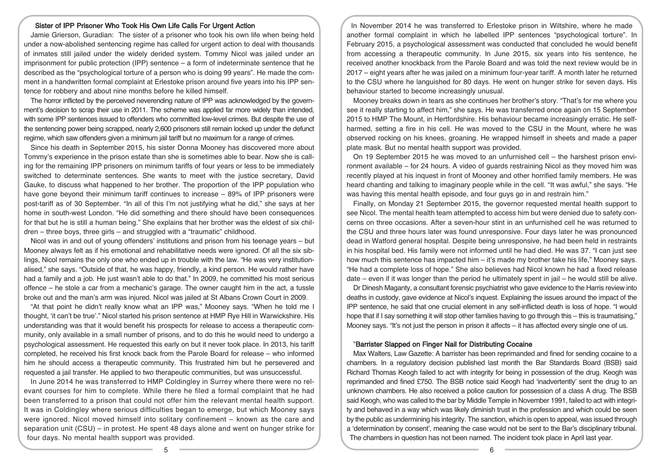# Sister of IPP Prisoner Who Took His Own Life Calls For Urgent Action

Jamie Grierson, Guradian: The sister of a prisoner who took his own life when being held under a now-abolished sentencing regime has called for urgent action to deal with thousands of inmates still jailed under the widely derided system. Tommy Nicol was jailed under an imprisonment for public protection (IPP) sentence  $-$  a form of indeterminate sentence that he described as the "psychological torture of a person who is doing 99 years". He made the comment in a handwritten formal complaint at Erlestoke prison around five years into his IPP sentence for robbery and about nine months before he killed himself.

The horror inflicted by the perceived neverending nature of IPP was acknowledged by the government's decision to scrap their use in 2011. The scheme was applied far more widely than intended, with some IPP sentences issued to offenders who committed low-level crimes. But despite the use of the sentencing power being scrapped, nearly 2,600 prisoners still remain locked up under the defunct regime, which saw offenders given a minimum jail tariff but no maximum for a range of crimes.

Since his death in September 2015, his sister Donna Mooney has discovered more about Tommy's experience in the prison estate than she is sometimes able to bear. Now she is calling for the remaining IPP prisoners on minimum tariffs of four years or less to be immediately switched to determinate sentences. She wants to meet with the justice secretary, David Gauke, to discuss what happened to her brother. The proportion of the IPP population who have gone beyond their minimum tariff continues to increase – 89% of IPP prisoners were post-tariff as of 30 September. "In all of this I'm not justifying what he did," she says at her home in south-west London. "He did something and there should have been consequences for that but he is still a human being." She explains that her brother was the eldest of six children – three boys, three girls – and struggled with a "traumatic" childhood.

Nicol was in and out of young offenders' institutions and prison from his teenage years – but Mooney always felt as if his emotional and rehabilitative needs were ignored. Of all the six siblings, Nicol remains the only one who ended up in trouble with the law. "He was very institutionalised," she says. "Outside of that, he was happy, friendly, a kind person. He would rather have had a family and a job. He just wasn't able to do that." In 2009, he committed his most serious offence – he stole a car from a mechanic's garage. The owner caught him in the act, a tussle broke out and the man's arm was injured. Nicol was jailed at St Albans Crown Court in 2009.

"At that point he didn't really know what an IPP was," Mooney says. "When he told me I thought, 'it can't be true'." Nicol started his prison sentence at HMP Rye Hill in Warwickshire. His understanding was that it would benefit his prospects for release to access a therapeutic community, only available in a small number of prisons, and to do this he would need to undergo a psychological assessment. He requested this early on but it never took place. In 2013, his tariff completed, he received his first knock back from the Parole Board for release – who informed him he should access a therapeutic community. This frustrated him but he persevered and requested a jail transfer. He applied to two therapeutic communities, but was unsuccessful.

In June 2014 he was transferred to HMP Coldingley in Surrey where there were no relevant courses for him to complete. While there he filed a formal complaint that he had been transferred to a prison that could not offer him the relevant mental health support. It was in Coldingley where serious difficulties began to emerge, but which Mooney says were ignored. Nicol moved himself into solitary confinement – known as the care and separation unit (CSU) – in protest. He spent 48 days alone and went on hunger strike for four days. No mental health support was provided.

In November 2014 he was transferred to Erlestoke prison in Wiltshire, where he made another formal complaint in which he labelled IPP sentences "psychological torture". In February 2015, a psychological assessment was conducted that concluded he would benefit from accessing a therapeutic community. In June 2015, six years into his sentence, he received another knockback from the Parole Board and was told the next review would be in 2017 – eight years after he was jailed on a minimum four-year tariff. A month later he returned to the CSU where he languished for 80 days. He went on hunger strike for seven days. His behaviour started to become increasingly unusual.

Mooney breaks down in tears as she continues her brother's story. "That's for me where you see it really starting to affect him," she says. He was transferred once again on 15 September 2015 to HMP The Mount, in Hertfordshire. His behaviour became increasingly erratic. He selfharmed, setting a fire in his cell. He was moved to the CSU in the Mount, where he was observed rocking on his knees, groaning. He wrapped himself in sheets and made a paper plate mask. But no mental health support was provided.

On 19 September 2015 he was moved to an unfurnished cell – the harshest prison environment available – for 24 hours. A video of guards restraining Nicol as they moved him was recently played at his inquest in front of Mooney and other horrified family members. He was heard chanting and talking to imaginary people while in the cell. "It was awful," she says. "He was having this mental health episode, and four guys go in and restrain him."

Finally, on Monday 21 September 2015, the governor requested mental health support to see Nicol. The mental health team attempted to access him but were denied due to safety concerns on three occasions. After a seven-hour stint in an unfurnished cell he was returned to the CSU and three hours later was found unresponsive. Four days later he was pronounced dead in Watford general hospital. Despite being unresponsive, he had been held in restraints in his hospital bed. His family were not informed until he had died. He was 37. "I can just see how much this sentence has impacted him – it's made my brother take his life," Mooney says. "He had a complete loss of hope." She also believes had Nicol known he had a fixed release date – even if it was longer than the period he ultimately spent in jail – he would still be alive.

Dr Dinesh Maganty, a consultant forensic psychiatrist who gave evidence to the Harris review into deaths in custody, gave evidence at Nicol's inquest. Explaining the issues around the impact of the IPP sentence, he said that one crucial element in any self-inflicted death is loss of hope. "I would hope that if I say something it will stop other families having to go through this – this is traumatising," Mooney says. "It's not just the person in prison it affects – it has affected every single one of us.

# "Barrister Slapped on Finger Nail for Distributing Cocaine

Max Walters, Law Gazette: A barrister has been reprimanded and fined for sending cocaine to a chambers. In a regulatory decision published last month the Bar Standards Board (BSB) said Richard Thomas Keogh failed to act with integrity for being in possession of the drug. Keogh was reprimanded and fined £750. The BSB notice said Keogh had 'inadvertently' sent the drug to an unknown chambers. He also received a police caution for possession of a class A drug. The BSB said Keogh, who was called to the bar by Middle Temple in November 1991, failed to act with integrity and behaved in a way which was likely diminish trust in the profession and which could be seen by the public as undermining his integrity. The sanction, which is open to appeal, was issued through a 'determination by consent', meaning the case would not be sent to the Bar's disciplinary tribunal. The chambers in question has not been named. The incident took place in April last year.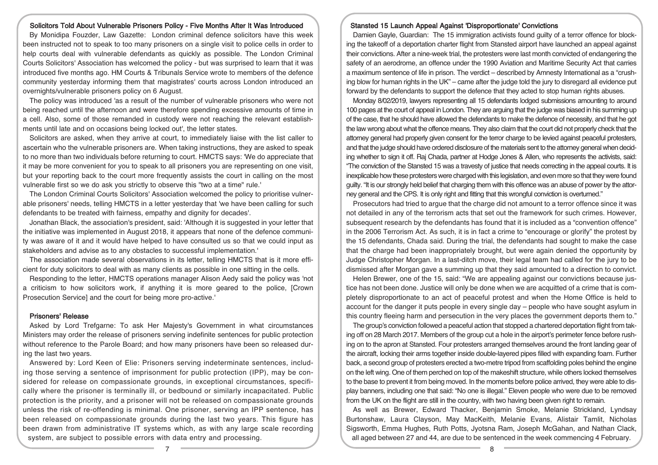#### Solicitors Told About Vulnerable Prisoners Policy - Five Months After It Was Introduced

By Monidipa Fouzder, Law Gazette: London criminal defence solicitors have this week been instructed not to speak to too many prisoners on a single visit to police cells in order to help courts deal with vulnerable defendants as quickly as possible. The London Criminal Courts Solicitors' Association has welcomed the policy - but was surprised to learn that it was introduced five months ago. HM Courts & Tribunals Service wrote to members of the defence community yesterday informing them that magistrates' courts across London introduced an overnights/vulnerable prisoners policy on 6 August.

The policy was introduced 'as a result of the number of vulnerable prisoners who were not being reached until the afternoon and were therefore spending excessive amounts of time in a cell. Also, some of those remanded in custody were not reaching the relevant establishments until late and on occasions being locked out', the letter states.

Solicitors are asked, when they arrive at court, to immediately liaise with the list caller to ascertain who the vulnerable prisoners are. When taking instructions, they are asked to speak to no more than two individuals before returning to court. HMCTS says: 'We do appreciate that it may be more convenient for you to speak to all prisoners you are representing on one visit, but your reporting back to the court more frequently assists the court in calling on the most vulnerable first so we do ask you strictly to observe this "two at a time" rule.'

The London Criminal Courts Solicitors' Association welcomed the policy to prioritise vulnerable prisoners' needs, telling HMCTS in a letter yesterday that 'we have been calling for such defendants to be treated with fairness, empathy and dignity for decades'.

Jonathan Black, the association's president, said: 'Although it is suggested in your letter that the initiative was implemented in August 2018, it appears that none of the defence community was aware of it and it would have helped to have consulted us so that we could input as stakeholders and advise as to any obstacles to successful implementation.'

The association made several observations in its letter, telling HMCTS that is it more efficient for duty solicitors to deal with as many clients as possible in one sitting in the cells.

Responding to the letter, HMCTS operations manager Alison Aedy said the policy was 'not a criticism to how solicitors work, if anything it is more geared to the police, [Crown Prosecution Service] and the court for being more pro-active.'

# Prisoners' Release

Asked by Lord Trefgarne: To ask Her Majesty's Government in what circumstances Ministers may order the release of prisoners serving indefinite sentences for public protection without reference to the Parole Board; and how many prisoners have been so released during the last two years.

Answered by: Lord Keen of Elie: Prisoners serving indeterminate sentences, including those serving a sentence of imprisonment for public protection (IPP), may be considered for release on compassionate grounds, in exceptional circumstances, specifically where the prisoner is terminally ill, or bedbound or similarly incapacitated. Public protection is the priority, and a prisoner will not be released on compassionate grounds unless the risk of re-offending is minimal. One prisoner, serving an IPP sentence, has been released on compassionate grounds during the last two years. This figure has been drawn from administrative IT systems which, as with any large scale recording system, are subject to possible errors with data entry and processing.

#### Stansted 15 Launch Appeal Against 'Disproportionate' Convictions

Damien Gayle, Guardian: The 15 immigration activists found guilty of a terror offence for blocking the takeoff of a deportation charter flight from Stansted airport have launched an appeal against their convictions. After a nine-week trial, the protesters were last month convicted of endangering the safety of an aerodrome, an offence under the 1990 Aviation and Maritime Security Act that carries a maximum sentence of life in prison. The verdict – described by Amnesty International as a "crushing blow for human rights in the UK" – came after the judge told the jury to disregard all evidence put forward by the defendants to support the defence that they acted to stop human rights abuses.

Monday 8/02/2019, lawyers representing all 15 defendants lodged submissions amounting to around 100 pages at the court of appeal in London. They are arguing that the judge was biased in his summing up of the case, that he should have allowed the defendants to make the defence of necessity, and that he got the law wrong about what the offence means. They also claim that the court did not properly check that the attorney general had properly given consent for the terror charge to be levied against peaceful protesters, and that the judge should have ordered disclosure of the materials sent to the attorney general when deciding whether to sign it off. Raj Chada, partner at Hodge Jones & Allen, who represents the activists, said: "The conviction of the Stansted 15 was a travesty of justice that needs correcting in the appeal courts. It is inexplicable how these protesters were charged with this legislation, and even more so that they were found guilty. "It is our strongly held belief that charging them with this offence was an abuse of power by the attorney general and the CPS. It is only right and fitting that this wrongful conviction is overturned."

Prosecutors had tried to argue that the charge did not amount to a terror offence since it was not detailed in any of the terrorism acts that set out the framework for such crimes. However, subsequent research by the defendants has found that it is included as a "convention offence" in the 2006 Terrorism Act. As such, it is in fact a crime to "encourage or glorify" the protest by the 15 defendants, Chada said. During the trial, the defendants had sought to make the case that the charge had been inappropriately brought, but were again denied the opportunity by Judge Christopher Morgan. In a last-ditch move, their legal team had called for the jury to be dismissed after Morgan gave a summing up that they said amounted to a direction to convict.

Helen Brewer, one of the 15, said: "We are appealing against our convictions because justice has not been done. Justice will only be done when we are acquitted of a crime that is completely disproportionate to an act of peaceful protest and when the Home Office is held to account for the danger it puts people in every single day – people who have sought asylum in this country fleeing harm and persecution in the very places the government deports them to."

The group's conviction followed a peaceful action that stopped a chartered deportation flight from taking off on 28 March 2017. Members of the group cut a hole in the airport's perimeter fence before rushing on to the apron at Stansted. Four protesters arranged themselves around the front landing gear of the aircraft, locking their arms together inside double-layered pipes filled with expanding foam. Further back, a second group of protesters erected a two-metre tripod from scaffolding poles behind the engine on the left wing. One of them perched on top of the makeshift structure, while others locked themselves to the base to prevent it from being moved. In the moments before police arrived, they were able to display banners, including one that said: "No one is illegal." Eleven people who were due to be removed from the UK on the flight are still in the country, with two having been given right to remain.

As well as Brewer, Edward Thacker, Benjamin Smoke, Melanie Strickland, Lyndsay Burtonshaw, Laura Clayson, May MacKeith, Melanie Evans, Alistair Tamlit, Nicholas Sigsworth, Emma Hughes, Ruth Potts, Jyotsna Ram, Joseph McGahan, and Nathan Clack, all aged between 27 and 44, are due to be sentenced in the week commencing 4 February.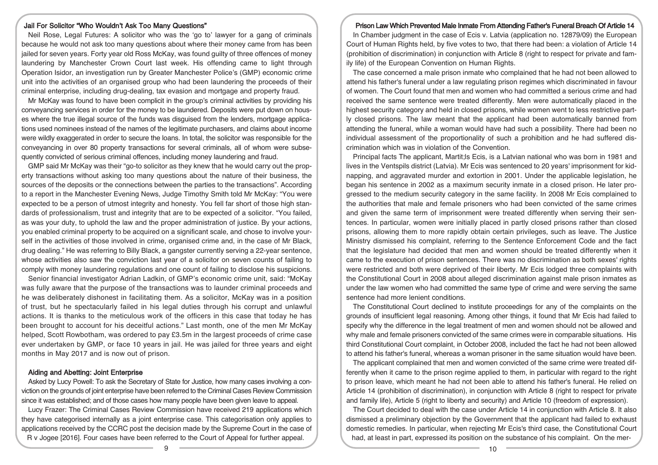### Jail For Solicitor "Who Wouldn't Ask Too Many Questions"

Neil Rose, Legal Futures: A solicitor who was the 'go to' lawyer for a gang of criminals because he would not ask too many questions about where their money came from has been jailed for seven years. Forty year old Ross McKay, was found guilty of three offences of money laundering by Manchester Crown Court last week. His offending came to light through Operation Isidor, an investigation run by Greater Manchester Police's (GMP) economic crime unit into the activities of an organised group who had been laundering the proceeds of their criminal enterprise, including drug-dealing, tax evasion and mortgage and property fraud.

Mr McKay was found to have been complicit in the group's criminal activities by providing his conveyancing services in order for the money to be laundered. Deposits were put down on houses where the true illegal source of the funds was disguised from the lenders, mortgage applications used nominees instead of the names of the legitimate purchasers, and claims about income were wildly exaggerated in order to secure the loans. In total, the solicitor was responsible for the conveyancing in over 80 property transactions for several criminals, all of whom were subsequently convicted of serious criminal offences, including money laundering and fraud.

GMP said Mr McKay was their "go-to solicitor as they knew that he would carry out the property transactions without asking too many questions about the nature of their business, the sources of the deposits or the connections between the parties to the transactions". According to a report in the Manchester Evening News, Judge Timothy Smith told Mr McKay: "You were expected to be a person of utmost integrity and honesty. You fell far short of those high standards of professionalism, trust and integrity that are to be expected of a solicitor. "You failed, as was your duty, to uphold the law and the proper administration of justice. By your actions, you enabled criminal property to be acquired on a significant scale, and chose to involve yourself in the activities of those involved in crime, organised crime and, in the case of Mr Black, drug dealing." He was referring to Billy Black, a gangster currently serving a 22-year sentence, whose activities also saw the conviction last year of a solicitor on seven counts of failing to comply with money laundering regulations and one count of failing to disclose his suspicions.

Senior financial investigator Adrian Ladkin, of GMP's economic crime unit, said: "McKay was fully aware that the purpose of the transactions was to launder criminal proceeds and he was deliberately dishonest in facilitating them. As a solicitor, McKay was in a position of trust, but he spectacularly failed in his legal duties through his corrupt and unlawful actions. It is thanks to the meticulous work of the officers in this case that today he has been brought to account for his deceitful actions." Last month, one of the men Mr McKay helped, Scott Rowbotham, was ordered to pay £3.5m in the largest proceeds of crime case ever undertaken by GMP, or face 10 years in jail. He was jailed for three years and eight months in May 2017 and is now out of prison.

#### Aiding and Abetting: Joint Enterprise

Asked by Lucy Powell: To ask the Secretary of State for Justice, how many cases involving a conviction on the grounds of joint enterprise have been referred to the Criminal Cases Review Commission since it was established; and of those cases how many people have been given leave to appeal.

Lucy Frazer: The Criminal Cases Review Commission have received 219 applications which they have categorised internally as a joint enterprise case. This categorisation only applies to applications received by the CCRC post the decision made by the Supreme Court in the case of R v Jogee [2016]. Four cases have been referred to the Court of Appeal for further appeal.

## Prison Law Which Prevented Male Inmate From Attending Father's Funeral Breach Of Article 14

In Chamber judgment in the case of Ecis v. Latvia (application no. 12879/09) the European Court of Human Rights held, by five votes to two, that there had been: a violation of Article 14 (prohibition of discrimination) in conjunction with Article 8 (right to respect for private and family life) of the European Convention on Human Rights.

The case concerned a male prison inmate who complained that he had not been allowed to attend his father's funeral under a law regulating prison regimes which discriminated in favour of women. The Court found that men and women who had committed a serious crime and had received the same sentence were treated differently. Men were automatically placed in the highest security category and held in closed prisons, while women went to less restrictive partly closed prisons. The law meant that the applicant had been automatically banned from attending the funeral, while a woman would have had such a possibility. There had been no individual assessment of the proportionality of such a prohibition and he had suffered discrimination which was in violation of the Convention.

Principal facts The applicant, Martit;ls Ecis, is a Latvian national who was born in 1981 and lives in the Ventspils district (Latvia). Mr Ecis was sentenced to 20 years' imprisonment for kidnapping, and aggravated murder and extortion in 2001. Under the applicable legislation, he began his sentence in 2002 as a maximum security inmate in a closed prison. He later progressed to the medium security category in the same facility. In 2008 Mr Ecis complained to the authorities that male and female prisoners who had been convicted of the same crimes and given the same term of imprisonment were treated differently when serving their sentences. In particular, women were initially placed in partly closed prisons rather than closed prisons, allowing them to more rapidly obtain certain privileges, such as leave. The Justice Ministry dismissed his complaint, referring to the Sentence Enforcement Code and the fact that the legislature had decided that men and women should be treated differently when it came to the execution of prison sentences. There was no discrimination as both sexes' rights were restricted and both were deprived of their liberty. Mr Ecis lodged three complaints with the Constitutional Court in 2008 about alleged discrimination against male prison inmates as under the law women who had committed the same type of crime and were serving the same sentence had more lenient conditions.

The Constitutional Court declined to institute proceedings for any of the complaints on the grounds of insufficient legal reasoning. Among other things, it found that Mr Ecis had failed to specify why the difference in the legal treatment of men and women should not be allowed and why male and female prisoners convicted of the same crimes were in comparable situations. His third Constitutional Court complaint, in October 2008, included the fact he had not been allowed to attend his father's funeral, whereas a woman prisoner in the same situation would have been.

The applicant complained that men and women convicted of the same crime were treated differently when it came to the prison regime applied to them, in particular with regard to the right to prison leave, which meant he had not been able to attend his father's funeral. He relied on Article 14 (prohibition of discrimination), in conjunction with Article 8 (right to respect for private and family life), Article 5 (right to liberty and security) and Article 10 (freedom of expression).

The Court decided to deal with the case under Article 14 in conjunction with Article 8. It also dismissed a preliminary objection by the Government that the applicant had failed to exhaust domestic remedies. In particular, when rejecting Mr Ecis's third case, the Constitutional Court had, at least in part, expressed its position on the substance of his complaint. On the mer-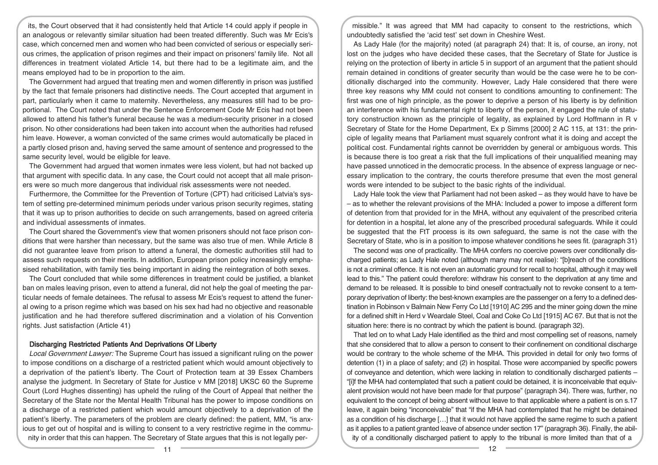its, the Court observed that it had consistently held that Article 14 could apply if people in an analogous or relevantly similar situation had been treated differently. Such was Mr Ecis's case, which concerned men and women who had been convicted of serious or especially serious crimes, the application of prison regimes and their impact on prisoners' family life. Not all differences in treatment violated Article 14, but there had to be a legitimate aim, and the means employed had to be in proportion to the aim.

The Government had argued that treating men and women differently in prison was justified by the fact that female prisoners had distinctive needs. The Court accepted that argument in part, particularly when it came to maternity. Nevertheless, any measures still had to be proportional. The Court noted that under the Sentence Enforcement Code Mr Ecis had not been allowed to attend his father's funeral because he was a medium-security prisoner in a closed prison. No other considerations had been taken into account when the authorities had refused him leave. However, a woman convicted of the same crimes would automatically be placed in a partly closed prison and, having served the same amount of sentence and progressed to the same security level, would be eligible for leave.

The Government had argued that women inmates were less violent, but had not backed up that argument with specific data. In any case, the Court could not accept that all male prisoners were so much more dangerous that individual risk assessments were not needed.

Furthermore, the Committee for the Prevention of Torture (CPT) had criticised Latvia's system of setting pre-determined minimum periods under various prison security regimes, stating that it was up to prison authorities to decide on such arrangements, based on agreed criteria and individual assessments of inmates.

The Court shared the Government's view that women prisoners should not face prison conditions that were harsher than necessary, but the same was also true of men. While Article 8 did not guarantee leave from prison to attend a funeral, the domestic authorities still had to assess such requests on their merits. In addition, European prison policy increasingly emphasised rehabilitation, with family ties being important in aiding the reintegration of both sexes.

The Court concluded that while some differences in treatment could be justified, a blanket ban on males leaving prison, even to attend a funeral, did not help the goal of meeting the particular needs of female detainees. The refusal to assess Mr Ecis's request to attend the funeral owing to a prison regime which was based on his sex had had no objective and reasonable justification and he had therefore suffered discrimination and a violation of his Convention rights. Just satisfaction (Article 41)

# Discharging Restricted Patients And Deprivations Of Liberty

Local Government Lawyer: The Supreme Court has issued a significant ruling on the power to impose conditions on a discharge of a restricted patient which would amount objectively to a deprivation of the patient's liberty. The Court of Protection team at 39 Essex Chambers analyse the judgment. In Secretary of State for Justice v MM [2018] UKSC 60 the Supreme Court (Lord Hughes dissenting) has upheld the ruling of the Court of Appeal that neither the Secretary of the State nor the Mental Health Tribunal has the power to impose conditions on a discharge of a restricted patient which would amount objectively to a deprivation of the patient's liberty. The parameters of the problem are clearly defined: the patient, MM, "is anxious to get out of hospital and is willing to consent to a very restrictive regime in the community in order that this can happen. The Secretary of State argues that this is not legally per-

missible." It was agreed that MM had capacity to consent to the restrictions, which undoubtedly satisfied the 'acid test' set down in Cheshire West.

As Lady Hale (for the majority) noted (at paragraph 24) that: It is, of course, an irony, not lost on the judges who have decided these cases, that the Secretary of State for Justice is relying on the protection of liberty in article 5 in support of an argument that the patient should remain detained in conditions of greater security than would be the case were he to be conditionally discharged into the community. However, Lady Hale considered that there were three key reasons why MM could not consent to conditions amounting to confinement: The first was one of high principle, as the power to deprive a person of his liberty is by definition an interference with his fundamental right to liberty of the person, it engaged the rule of statutory construction known as the principle of legality, as explained by Lord Hoffmann in R v Secretary of State for the Home Department, Ex p Simms [2000] 2 AC 115, at 131: the principle of legality means that Parliament must squarely confront what it is doing and accept the political cost. Fundamental rights cannot be overridden by general or ambiguous words. This is because there is too great a risk that the full implications of their unqualified meaning may have passed unnoticed in the democratic process. In the absence of express language or necessary implication to the contrary, the courts therefore presume that even the most general words were intended to be subject to the basic rights of the individual.

Lady Hale took the view that Parliament had not been asked – as they would have to have be – as to whether the relevant provisions of the MHA: Included a power to impose a different form of detention from that provided for in the MHA, without any equivalent of the prescribed criteria for detention in a hospital, let alone any of the prescribed procedural safeguards. While it could be suggested that the FtT process is its own safeguard, the same is not the case with the Secretary of State, who is in a position to impose whatever conditions he sees fit. (paragraph 31)

The second was one of practicality. The MHA confers no coercive powers over conditionally discharged patients; as Lady Hale noted (although many may not realise): "[b]reach of the conditions is not a criminal offence. It is not even an automatic ground for recall to hospital, although it may well lead to this." The patient could therefore: withdraw his consent to the deprivation at any time and demand to be released. It is possible to bind oneself contractually not to revoke consent to a temporary deprivation of liberty: the best-known examples are the passenger on a ferry to a defined destination in Robinson v Balmain New Ferry Co Ltd [1910] AC 295 and the miner going down the mine for a defined shift in Herd v Weardale Steel, Coal and Coke Co Ltd [1915] AC 67. But that is not the situation here: there is no contract by which the patient is bound. (paragraph 32).

That led on to what Lady Hale identified as the third and most compelling set of reasons, namely that she considered that to allow a person to consent to their confinement on conditional discharge would be contrary to the whole scheme of the MHA. This provided in detail for only two forms of detention (1) in a place of safety; and (2) in hospital. Those were accompanied by specific powers of conveyance and detention, which were lacking in relation to conditionally discharged patients – "[i]f the MHA had contemplated that such a patient could be detained, it is inconceivable that equivalent provision would not have been made for that purpose" (paragraph 34). There was, further, no equivalent to the concept of being absent without leave to that applicable where a patient is on s.17 leave, it again being "inconceivable" that "if the MHA had contemplated that he might be detained as a condition of his discharge […] that it would not have applied the same regime to such a patient as it applies to a patient granted leave of absence under section 17" (paragraph 36). Finally, the ability of a conditionally discharged patient to apply to the tribunal is more limited than that of a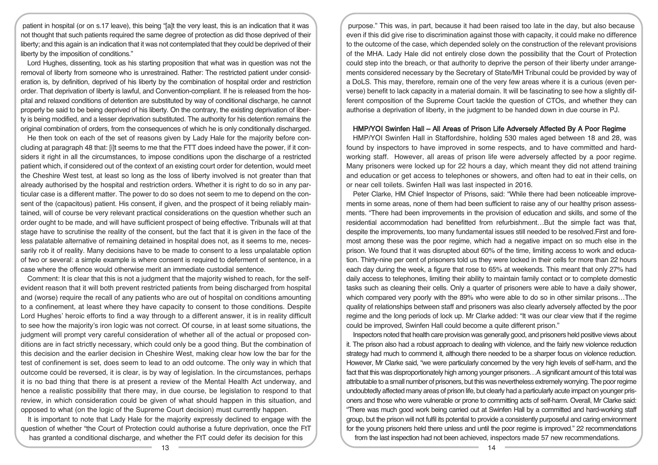patient in hospital (or on s.17 leave), this being "[a]t the very least, this is an indication that it was not thought that such patients required the same degree of protection as did those deprived of their liberty; and this again is an indication that it was not contemplated that they could be deprived of their liberty by the imposition of conditions."

Lord Hughes, dissenting, took as his starting proposition that what was in question was not the removal of liberty from someone who is unrestrained. Rather: The restricted patient under consideration is, by definition, deprived of his liberty by the combination of hospital order and restriction order. That deprivation of liberty is lawful, and Convention-compliant. If he is released from the hospital and relaxed conditions of detention are substituted by way of conditional discharge, he cannot properly be said to be being deprived of his liberty. On the contrary, the existing deprivation of liberty is being modified, and a lesser deprivation substituted. The authority for his detention remains the original combination of orders, from the consequences of which he is only conditionally discharged.

He then took on each of the set of reasons given by Lady Hale for the majority before concluding at paragraph 48 that: [i]t seems to me that the FTT does indeed have the power, if it considers it right in all the circumstances, to impose conditions upon the discharge of a restricted patient which, if considered out of the context of an existing court order for detention, would meet the Cheshire West test, at least so long as the loss of liberty involved is not greater than that already authorised by the hospital and restriction orders. Whether it is right to do so in any particular case is a different matter. The power to do so does not seem to me to depend on the consent of the (capacitous) patient. His consent, if given, and the prospect of it being reliably maintained, will of course be very relevant practical considerations on the question whether such an order ought to be made, and will have sufficient prospect of being effective. Tribunals will at that stage have to scrutinise the reality of the consent, but the fact that it is given in the face of the less palatable alternative of remaining detained in hospital does not, as it seems to me, necessarily rob it of reality. Many decisions have to be made to consent to a less unpalatable option of two or several: a simple example is where consent is required to deferment of sentence, in a case where the offence would otherwise merit an immediate custodial sentence.

Comment: It is clear that this is not a judgment that the majority wished to reach, for the selfevident reason that it will both prevent restricted patients from being discharged from hospital and (worse) require the recall of any patients who are out of hospital on conditions amounting to a confinement, at least where they have capacity to consent to those conditions. Despite Lord Hughes' heroic efforts to find a way through to a different answer, it is in reality difficult to see how the majority's iron logic was not correct. Of course, in at least some situations, the judgment will prompt very careful consideration of whether all of the actual or proposed conditions are in fact strictly necessary, which could only be a good thing. But the combination of this decision and the earlier decision in Cheshire West, making clear how low the bar for the test of confinement is set, does seem to lead to an odd outcome. The only way in which that outcome could be reversed, it is clear, is by way of legislation. In the circumstances, perhaps it is no bad thing that there is at present a review of the Mental Health Act underway, and hence a realistic possibility that there may, in due course, be legislation to respond to that review, in which consideration could be given of what should happen in this situation, and opposed to what (on the logic of the Supreme Court decision) must currently happen.

It is important to note that Lady Hale for the majority expressly declined to engage with the question of whether "the Court of Protection could authorise a future deprivation, once the FtT has granted a conditional discharge, and whether the FtT could defer its decision for this

purpose." This was, in part, because it had been raised too late in the day, but also because even if this did give rise to discrimination against those with capacity, it could make no difference to the outcome of the case, which depended solely on the construction of the relevant provisions of the MHA. Lady Hale did not entirely close down the possibility that the Court of Protection could step into the breach, or that authority to deprive the person of their liberty under arrangements considered necessary by the Secretary of State/MH Tribunal could be provided by way of a DoLS. This may, therefore, remain one of the very few areas where it is a curious (even perverse) benefit to lack capacity in a material domain. It will be fascinating to see how a slightly different composition of the Supreme Court tackle the question of CTOs, and whether they can authorise a deprivation of liberty, in the judgment to be handed down in due course in PJ.

#### HMP/YOI Swinfen Hall – All Areas of Prison Life Adversely Affected By A Poor Regime

HMP/YOI Swinfen Hall in Staffordshire, holding 530 males aged between 18 and 28, was found by inspectors to have improved in some respects, and to have committed and hardworking staff. However, all areas of prison life were adversely affected by a poor regime. Many prisoners were locked up for 22 hours a day, which meant they did not attend training and education or get access to telephones or showers, and often had to eat in their cells, on or near cell toilets. Swinfen Hall was last inspected in 2016.

Peter Clarke, HM Chief Inspector of Prisons, said: "While there had been noticeable improvements in some areas, none of them had been sufficient to raise any of our healthy prison assessments. "There had been improvements in the provision of education and skills, and some of the residential accommodation had benefitted from refurbishment…But the simple fact was that, despite the improvements, too many fundamental issues still needed to be resolved.First and foremost among these was the poor regime, which had a negative impact on so much else in the prison. We found that it was disrupted about 60% of the time, limiting access to work and education. Thirty-nine per cent of prisoners told us they were locked in their cells for more than 22 hours each day during the week, a figure that rose to 65% at weekends. This meant that only 27% had daily access to telephones, limiting their ability to maintain family contact or to complete domestic tasks such as cleaning their cells. Only a quarter of prisoners were able to have a daily shower, which compared very poorly with the 89% who were able to do so in other similar prisons…The quality of relationships between staff and prisoners was also clearly adversely affected by the poor regime and the long periods of lock up. Mr Clarke added: "It was our clear view that if the regime could be improved, Swinfen Hall could become a quite different prison."

Inspectors noted that health care provision was generally good, and prisoners held positive views about it. The prison also had a robust approach to dealing with violence, and the fairly new violence reduction strategy had much to commend it, although there needed to be a sharper focus on violence reduction. However, Mr Clarke said, "we were particularly concerned by the very high levels of self-harm, and the fact that this was disproportionately high among younger prisoners…A significant amount of this total was attributable to a small number of prisoners, but this was nevertheless extremely worrying.The poorregime undoubtedly affected many areas of prison life, but clearly had a particularly acute impact on younger prisoners and those who were vulnerable or prone to committing acts of self-harm. Overall, Mr Clarke said: "There was much good work being carried out at Swinfen Hall by a committed and hard-working staff group, but the prison will not fulfil its potential to provide a consistently purposeful and caring environment for the young prisoners held there unless and until the poor regime is improved." 22 recommendations from the last inspection had not been achieved, inspectors made 57 new recommendations.